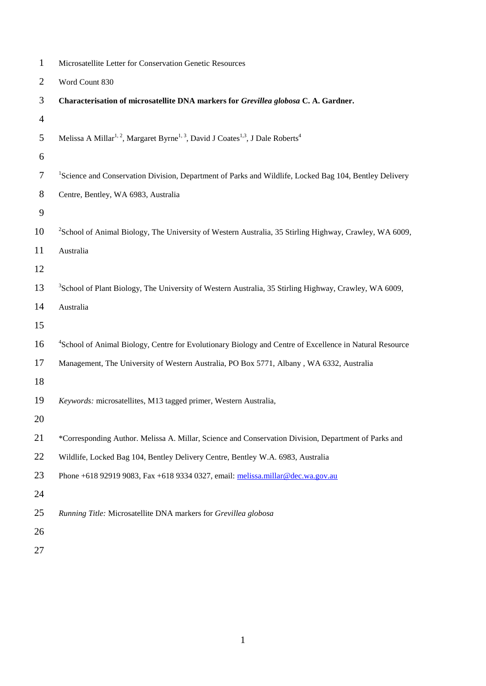| $\mathbf{1}$   | Microsatellite Letter for Conservation Genetic Resources                                                                        |
|----------------|---------------------------------------------------------------------------------------------------------------------------------|
| $\overline{2}$ | Word Count 830                                                                                                                  |
| 3              | Characterisation of microsatellite DNA markers for Grevillea globosa C. A. Gardner.                                             |
| 4              |                                                                                                                                 |
| 5              | Melissa A Millar <sup>1, 2</sup> , Margaret Byrne <sup>1, 3</sup> , David J Coates <sup>1,3</sup> , J Dale Roberts <sup>4</sup> |
| 6              |                                                                                                                                 |
| 7              | <sup>1</sup> Science and Conservation Division, Department of Parks and Wildlife, Locked Bag 104, Bentley Delivery              |
| 8              | Centre, Bentley, WA 6983, Australia                                                                                             |
| 9              |                                                                                                                                 |
| 10             | <sup>2</sup> School of Animal Biology, The University of Western Australia, 35 Stirling Highway, Crawley, WA 6009,              |
| 11             | Australia                                                                                                                       |
| 12             |                                                                                                                                 |
| 13             | <sup>3</sup> School of Plant Biology, The University of Western Australia, 35 Stirling Highway, Crawley, WA 6009,               |
| 14             | Australia                                                                                                                       |
| 15             |                                                                                                                                 |
| 16             | <sup>4</sup> School of Animal Biology, Centre for Evolutionary Biology and Centre of Excellence in Natural Resource             |
| 17             | Management, The University of Western Australia, PO Box 5771, Albany, WA 6332, Australia                                        |
| 18             |                                                                                                                                 |
| 19             | Keywords: microsatellites, M13 tagged primer, Western Australia,                                                                |
| 20             |                                                                                                                                 |
| 21             | *Corresponding Author. Melissa A. Millar, Science and Conservation Division, Department of Parks and                            |
| 22             | Wildlife, Locked Bag 104, Bentley Delivery Centre, Bentley W.A. 6983, Australia                                                 |
| 23             | Phone +618 92919 9083, Fax +618 9334 0327, email: melissa.millar@dec.wa.gov.au                                                  |
| 24             |                                                                                                                                 |
| 25             | Running Title: Microsatellite DNA markers for Grevillea globosa                                                                 |
| 26             |                                                                                                                                 |
|                |                                                                                                                                 |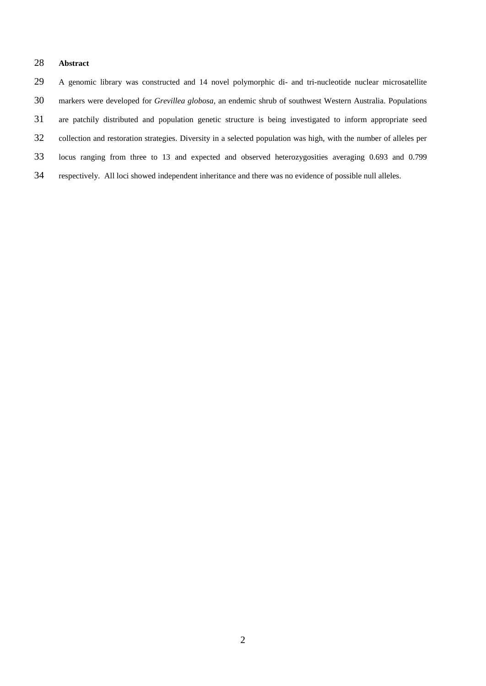## **Abstract**

 A genomic library was constructed and 14 novel polymorphic di- and tri-nucleotide nuclear microsatellite markers were developed for *Grevillea globosa,* an endemic shrub of southwest Western Australia. Populations are patchily distributed and population genetic structure is being investigated to inform appropriate seed collection and restoration strategies. Diversity in a selected population was high, with the number of alleles per locus ranging from three to 13 and expected and observed heterozygosities averaging 0.693 and 0.799 respectively. All loci showed independent inheritance and there was no evidence of possible null alleles.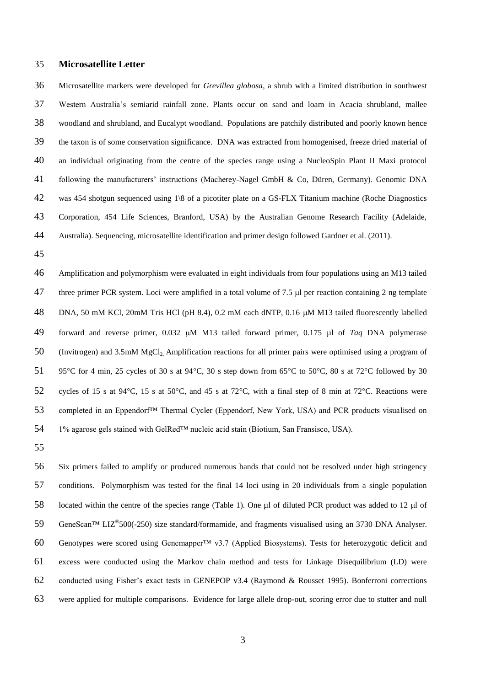## **Microsatellite Letter**

 Microsatellite markers were developed for *Grevillea globosa*, a shrub with a limited distribution in southwest Western Australia's semiarid rainfall zone. Plants occur on sand and loam in Acacia shrubland, mallee woodland and shrubland, and Eucalypt woodland. Populations are patchily distributed and poorly known hence the taxon is of some conservation significance. DNA was extracted from homogenised, freeze dried material of an individual originating from the centre of the species range using a NucleoSpin Plant II Maxi protocol following the manufacturers' instructions (Macherey-Nagel GmbH & Co, Düren, Germany). Genomic DNA was 454 shotgun sequenced using 1\8 of a picotiter plate on a GS-FLX Titanium machine (Roche Diagnostics Corporation, 454 Life Sciences, Branford, USA) by the Australian Genome Research Facility (Adelaide, Australia). Sequencing, microsatellite identification and primer design followed Gardner et al. (2011).

 Amplification and polymorphism were evaluated in eight individuals from four populations using an M13 tailed 47 three primer PCR system. Loci were amplified in a total volume of 7.5 µl per reaction containing 2 ng template 48 DNA, 50 mM KCl, 20mM Tris HCl (pH 8.4), 0.2 mM each dNTP, 0.16 µM M13 tailed fluorescently labelled 49 forward and reverse primer, 0.032  $\mu$ M M13 tailed forward primer, 0.175  $\mu$ l of *Taq* DNA polymerase 50 (Invitrogen) and 3.5mM MgCl<sub>2</sub>. Amplification reactions for all primer pairs were optimised using a program of 51 95°C for 4 min, 25 cycles of 30 s at 94°C, 30 s step down from 65°C to 50°C, 80 s at 72°C followed by 30 52 cycles of 15 s at 94 °C, 15 s at 50 °C, and 45 s at 72 °C, with a final step of 8 min at 72 °C. Reactions were 53 completed in an Eppendorf<sup>™</sup> Thermal Cycler (Eppendorf, New York, USA) and PCR products visualised on 1% agarose gels stained with GelRed™ nucleic acid stain (Biotium, San Fransisco, USA).

 Six primers failed to amplify or produced numerous bands that could not be resolved under high stringency conditions. Polymorphism was tested for the final 14 loci using in 20 individuals from a single population 58 located within the centre of the species range (Table 1). One ul of diluted PCR product was added to 12 ul of 59 GeneScan™ LIZ<sup>®</sup>500(-250) size standard/formamide, and fragments visualised using an 3730 DNA Analyser. 60 Genotypes were scored using Genemapper<sup>TM</sup> v3.7 (Applied Biosystems). Tests for heterozygotic deficit and excess were conducted using the Markov chain method and tests for Linkage Disequilibrium (LD) were conducted using Fisher's exact tests in GENEPOP v3.4 (Raymond & Rousset 1995). Bonferroni corrections were applied for multiple comparisons. Evidence for large allele drop-out, scoring error due to stutter and null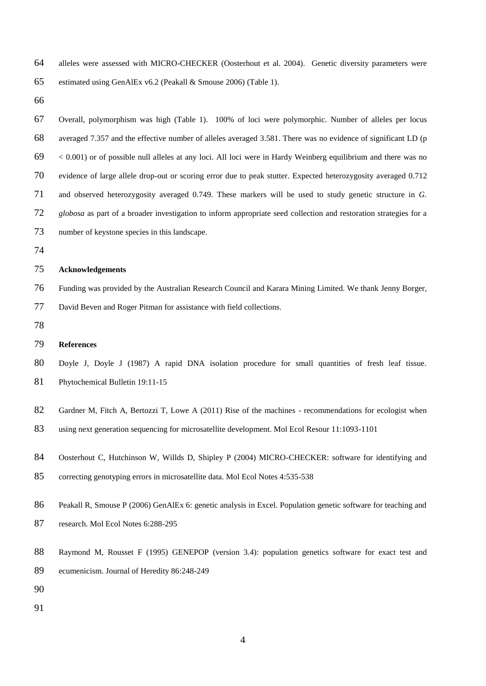alleles were assessed with MICRO-CHECKER (Oosterhout et al. 2004). Genetic diversity parameters were

estimated using GenAlEx v6.2 (Peakall & Smouse 2006) (Table 1).

- Overall, polymorphism was high (Table 1). 100% of loci were polymorphic. Number of alleles per locus averaged 7.357 and the effective number of alleles averaged 3.581. There was no evidence of significant LD (p  $69 \leq 0.001$  or of possible null alleles at any loci. All loci were in Hardy Weinberg equilibrium and there was no evidence of large allele drop-out or scoring error due to peak stutter. Expected heterozygosity averaged 0.712 and observed heterozygosity averaged 0.749. These markers will be used to study genetic structure in *G. globosa* as part of a broader investigation to inform appropriate seed collection and restoration strategies for a number of keystone species in this landscape. **Acknowledgements** Funding was provided by the Australian Research Council and Karara Mining Limited. We thank Jenny Borger, David Beven and Roger Pitman for assistance with field collections. **References** Doyle J, Doyle J (1987) A rapid DNA isolation procedure for small quantities of fresh leaf tissue. Phytochemical Bulletin 19:11-15 82 Gardner M, Fitch A, Bertozzi T, Lowe A (2011) Rise of the machines - recommendations for ecologist when using next generation sequencing for microsatellite development. Mol Ecol Resour 11:1093-1101 Oosterhout C, Hutchinson W, Willds D, Shipley P (2004) MICRO-CHECKER: software for identifying and correcting genotyping errors in microsatellite data. Mol Ecol Notes 4:535-538 Peakall R, Smouse P (2006) GenAlEx 6: genetic analysis in Excel. Population genetic software for teaching and research. Mol Ecol Notes 6:288-295 Raymond M, Rousset F (1995) GENEPOP (version 3.4): population genetics software for exact test and ecumenicism. Journal of Heredity 86:248-249
	-
-